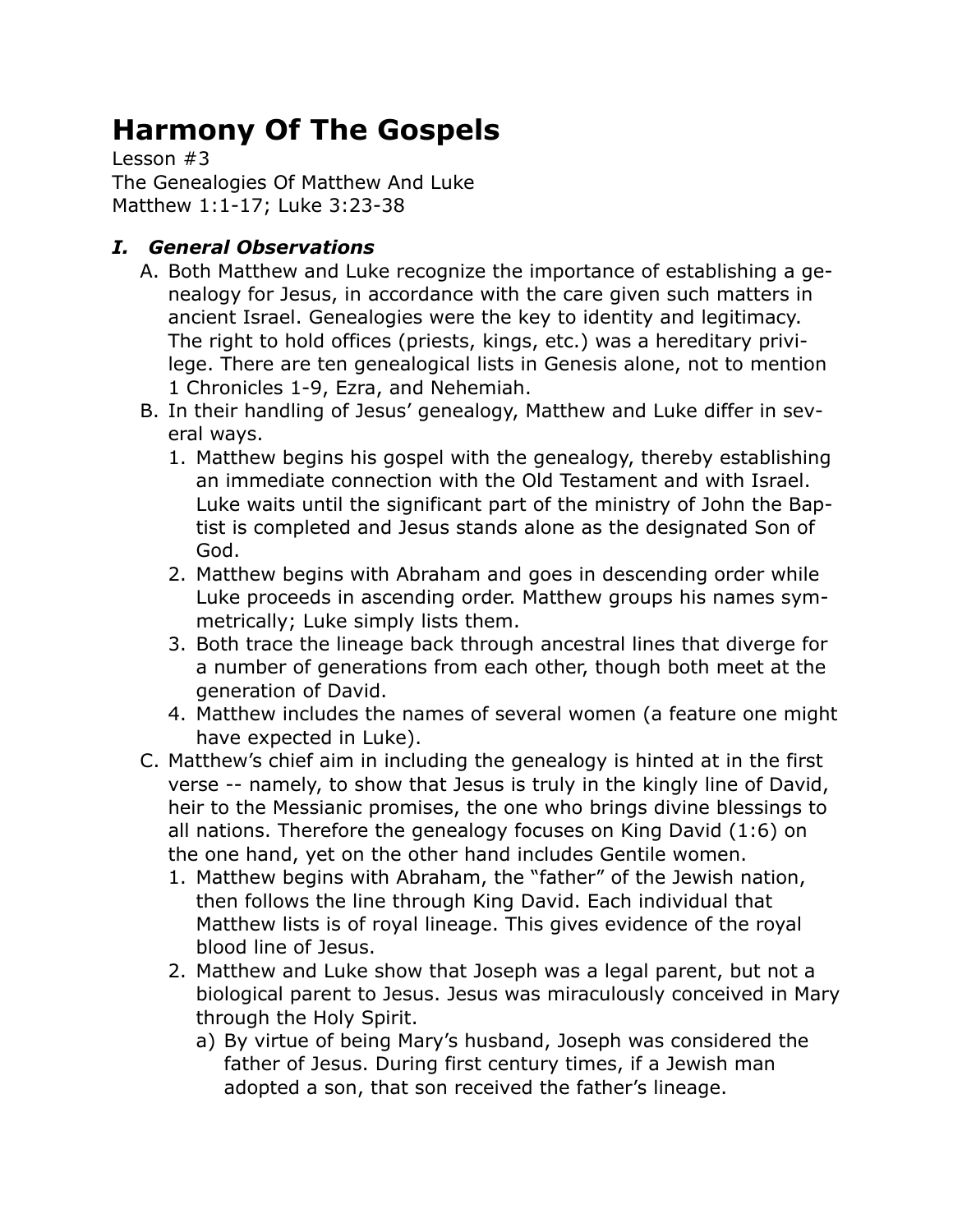## **Harmony Of The Gospels**

Lesson #3 The Genealogies Of Matthew And Luke Matthew 1:1-17; Luke 3:23-38

## *I. General Observations*

- A. Both Matthew and Luke recognize the importance of establishing a genealogy for Jesus, in accordance with the care given such matters in ancient Israel. Genealogies were the key to identity and legitimacy. The right to hold offices (priests, kings, etc.) was a hereditary privilege. There are ten genealogical lists in Genesis alone, not to mention 1 Chronicles 1-9, Ezra, and Nehemiah.
- B. In their handling of Jesus' genealogy, Matthew and Luke differ in several ways.
	- 1. Matthew begins his gospel with the genealogy, thereby establishing an immediate connection with the Old Testament and with Israel. Luke waits until the significant part of the ministry of John the Baptist is completed and Jesus stands alone as the designated Son of God.
	- 2. Matthew begins with Abraham and goes in descending order while Luke proceeds in ascending order. Matthew groups his names symmetrically; Luke simply lists them.
	- 3. Both trace the lineage back through ancestral lines that diverge for a number of generations from each other, though both meet at the generation of David.
	- 4. Matthew includes the names of several women (a feature one might have expected in Luke).
- C. Matthew's chief aim in including the genealogy is hinted at in the first verse -- namely, to show that Jesus is truly in the kingly line of David, heir to the Messianic promises, the one who brings divine blessings to all nations. Therefore the genealogy focuses on King David (1:6) on the one hand, yet on the other hand includes Gentile women.
	- 1. Matthew begins with Abraham, the "father" of the Jewish nation, then follows the line through King David. Each individual that Matthew lists is of royal lineage. This gives evidence of the royal blood line of Jesus.
	- 2. Matthew and Luke show that Joseph was a legal parent, but not a biological parent to Jesus. Jesus was miraculously conceived in Mary through the Holy Spirit.
		- a) By virtue of being Mary's husband, Joseph was considered the father of Jesus. During first century times, if a Jewish man adopted a son, that son received the father's lineage.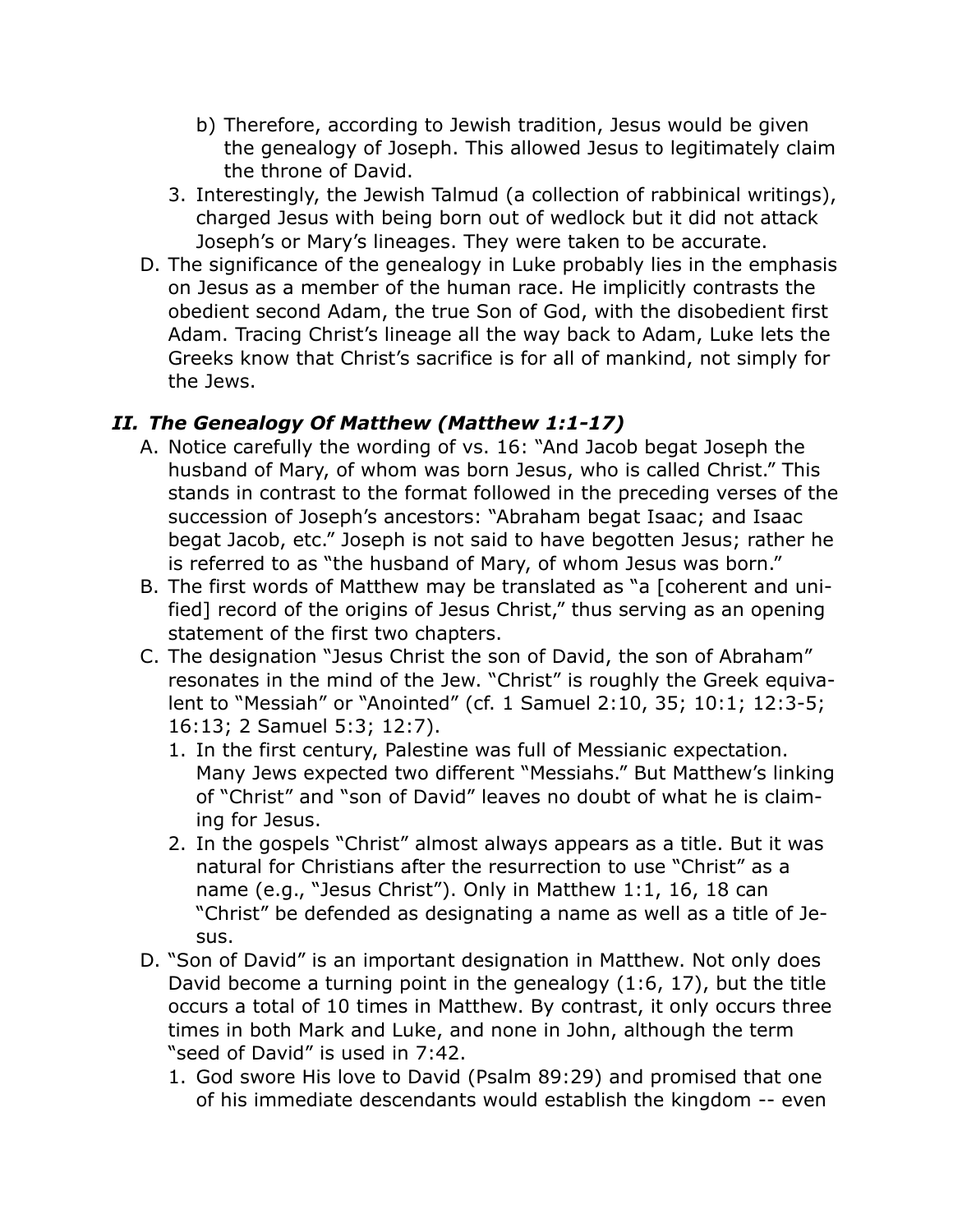- b) Therefore, according to Jewish tradition, Jesus would be given the genealogy of Joseph. This allowed Jesus to legitimately claim the throne of David.
- 3. Interestingly, the Jewish Talmud (a collection of rabbinical writings), charged Jesus with being born out of wedlock but it did not attack Joseph's or Mary's lineages. They were taken to be accurate.
- D. The significance of the genealogy in Luke probably lies in the emphasis on Jesus as a member of the human race. He implicitly contrasts the obedient second Adam, the true Son of God, with the disobedient first Adam. Tracing Christ's lineage all the way back to Adam, Luke lets the Greeks know that Christ's sacrifice is for all of mankind, not simply for the Jews.

## *II. The Genealogy Of Matthew (Matthew 1:1-17)*

- A. Notice carefully the wording of vs. 16: "And Jacob begat Joseph the husband of Mary, of whom was born Jesus, who is called Christ." This stands in contrast to the format followed in the preceding verses of the succession of Joseph's ancestors: "Abraham begat Isaac; and Isaac begat Jacob, etc." Joseph is not said to have begotten Jesus; rather he is referred to as "the husband of Mary, of whom Jesus was born."
- B. The first words of Matthew may be translated as "a [coherent and unified] record of the origins of Jesus Christ," thus serving as an opening statement of the first two chapters.
- C. The designation "Jesus Christ the son of David, the son of Abraham" resonates in the mind of the Jew. "Christ" is roughly the Greek equivalent to "Messiah" or "Anointed" (cf. 1 Samuel 2:10, 35; 10:1; 12:3-5; 16:13; 2 Samuel 5:3; 12:7).
	- 1. In the first century, Palestine was full of Messianic expectation. Many Jews expected two different "Messiahs." But Matthew's linking of "Christ" and "son of David" leaves no doubt of what he is claiming for Jesus.
	- 2. In the gospels "Christ" almost always appears as a title. But it was natural for Christians after the resurrection to use "Christ" as a name (e.g., "Jesus Christ"). Only in Matthew 1:1, 16, 18 can "Christ" be defended as designating a name as well as a title of Jesus.
- D. "Son of David" is an important designation in Matthew. Not only does David become a turning point in the genealogy (1:6, 17), but the title occurs a total of 10 times in Matthew. By contrast, it only occurs three times in both Mark and Luke, and none in John, although the term "seed of David" is used in 7:42.
	- 1. God swore His love to David (Psalm 89:29) and promised that one of his immediate descendants would establish the kingdom -- even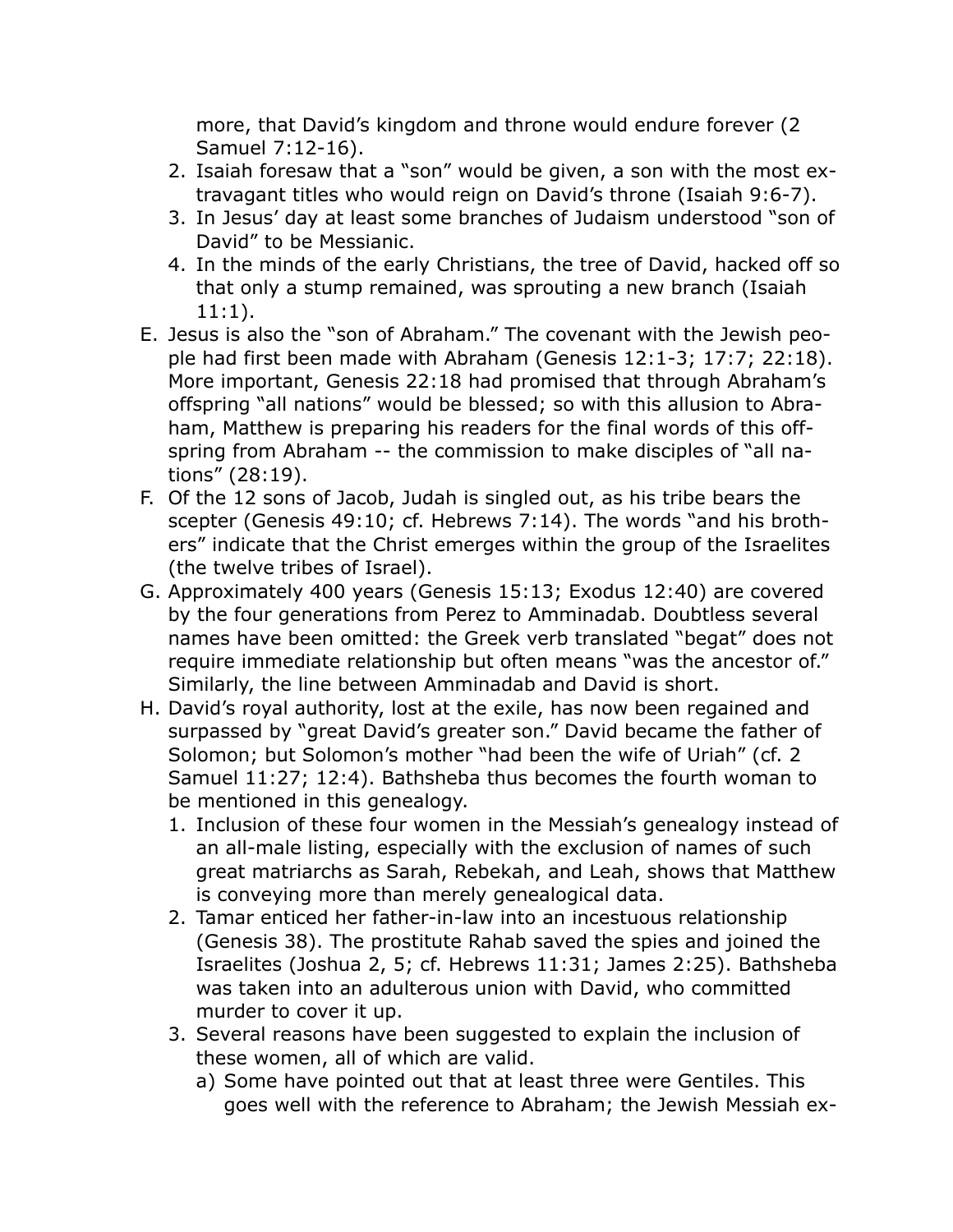more, that David's kingdom and throne would endure forever (2 Samuel 7:12-16).

- 2. Isaiah foresaw that a "son" would be given, a son with the most extravagant titles who would reign on David's throne (Isaiah 9:6-7).
- 3. In Jesus' day at least some branches of Judaism understood "son of David" to be Messianic.
- 4. In the minds of the early Christians, the tree of David, hacked off so that only a stump remained, was sprouting a new branch (Isaiah 11:1).
- E. Jesus is also the "son of Abraham." The covenant with the Jewish people had first been made with Abraham (Genesis 12:1-3; 17:7; 22:18). More important, Genesis 22:18 had promised that through Abraham's offspring "all nations" would be blessed; so with this allusion to Abraham, Matthew is preparing his readers for the final words of this offspring from Abraham -- the commission to make disciples of "all nations" (28:19).
- F. Of the 12 sons of Jacob, Judah is singled out, as his tribe bears the scepter (Genesis 49:10; cf. Hebrews 7:14). The words "and his brothers" indicate that the Christ emerges within the group of the Israelites (the twelve tribes of Israel).
- G. Approximately 400 years (Genesis 15:13; Exodus 12:40) are covered by the four generations from Perez to Amminadab. Doubtless several names have been omitted: the Greek verb translated "begat" does not require immediate relationship but often means "was the ancestor of." Similarly, the line between Amminadab and David is short.
- H. David's royal authority, lost at the exile, has now been regained and surpassed by "great David's greater son." David became the father of Solomon; but Solomon's mother "had been the wife of Uriah" (cf. 2 Samuel 11:27; 12:4). Bathsheba thus becomes the fourth woman to be mentioned in this genealogy.
	- 1. Inclusion of these four women in the Messiah's genealogy instead of an all-male listing, especially with the exclusion of names of such great matriarchs as Sarah, Rebekah, and Leah, shows that Matthew is conveying more than merely genealogical data.
	- 2. Tamar enticed her father-in-law into an incestuous relationship (Genesis 38). The prostitute Rahab saved the spies and joined the Israelites (Joshua 2, 5; cf. Hebrews 11:31; James 2:25). Bathsheba was taken into an adulterous union with David, who committed murder to cover it up.
	- 3. Several reasons have been suggested to explain the inclusion of these women, all of which are valid.
		- a) Some have pointed out that at least three were Gentiles. This goes well with the reference to Abraham; the Jewish Messiah ex-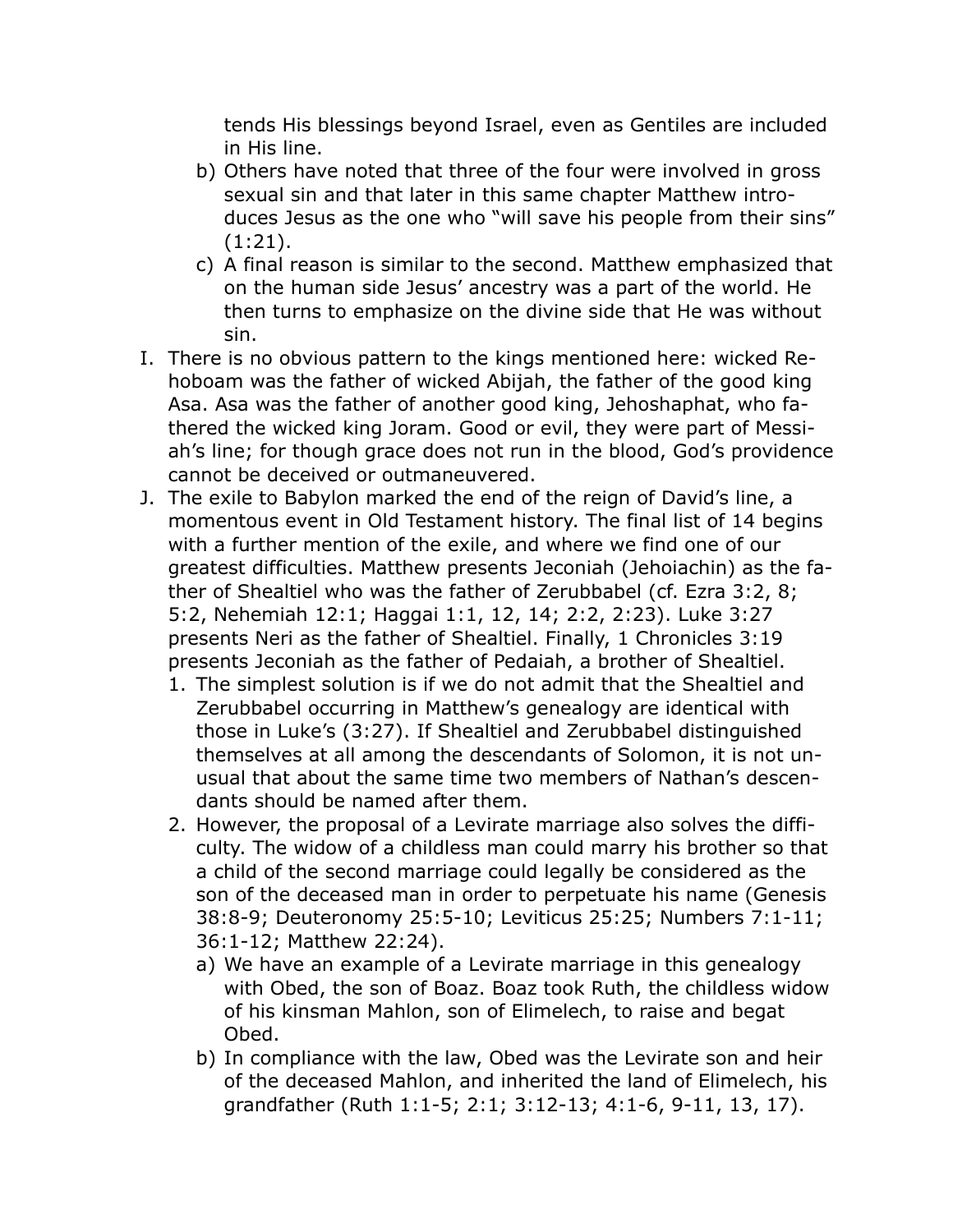tends His blessings beyond Israel, even as Gentiles are included in His line.

- b) Others have noted that three of the four were involved in gross sexual sin and that later in this same chapter Matthew introduces Jesus as the one who "will save his people from their sins" (1:21).
- c) A final reason is similar to the second. Matthew emphasized that on the human side Jesus' ancestry was a part of the world. He then turns to emphasize on the divine side that He was without sin.
- I. There is no obvious pattern to the kings mentioned here: wicked Rehoboam was the father of wicked Abijah, the father of the good king Asa. Asa was the father of another good king, Jehoshaphat, who fathered the wicked king Joram. Good or evil, they were part of Messiah's line; for though grace does not run in the blood, God's providence cannot be deceived or outmaneuvered.
- J. The exile to Babylon marked the end of the reign of David's line, a momentous event in Old Testament history. The final list of 14 begins with a further mention of the exile, and where we find one of our greatest difficulties. Matthew presents Jeconiah (Jehoiachin) as the father of Shealtiel who was the father of Zerubbabel (cf. Ezra 3:2, 8; 5:2, Nehemiah 12:1; Haggai 1:1, 12, 14; 2:2, 2:23). Luke 3:27 presents Neri as the father of Shealtiel. Finally, 1 Chronicles 3:19 presents Jeconiah as the father of Pedaiah, a brother of Shealtiel.
	- 1. The simplest solution is if we do not admit that the Shealtiel and Zerubbabel occurring in Matthew's genealogy are identical with those in Luke's (3:27). If Shealtiel and Zerubbabel distinguished themselves at all among the descendants of Solomon, it is not unusual that about the same time two members of Nathan's descendants should be named after them.
	- 2. However, the proposal of a Levirate marriage also solves the difficulty. The widow of a childless man could marry his brother so that a child of the second marriage could legally be considered as the son of the deceased man in order to perpetuate his name (Genesis 38:8-9; Deuteronomy 25:5-10; Leviticus 25:25; Numbers 7:1-11; 36:1-12; Matthew 22:24).
		- a) We have an example of a Levirate marriage in this genealogy with Obed, the son of Boaz. Boaz took Ruth, the childless widow of his kinsman Mahlon, son of Elimelech, to raise and begat Obed.
		- b) In compliance with the law, Obed was the Levirate son and heir of the deceased Mahlon, and inherited the land of Elimelech, his grandfather (Ruth 1:1-5; 2:1; 3:12-13; 4:1-6, 9-11, 13, 17).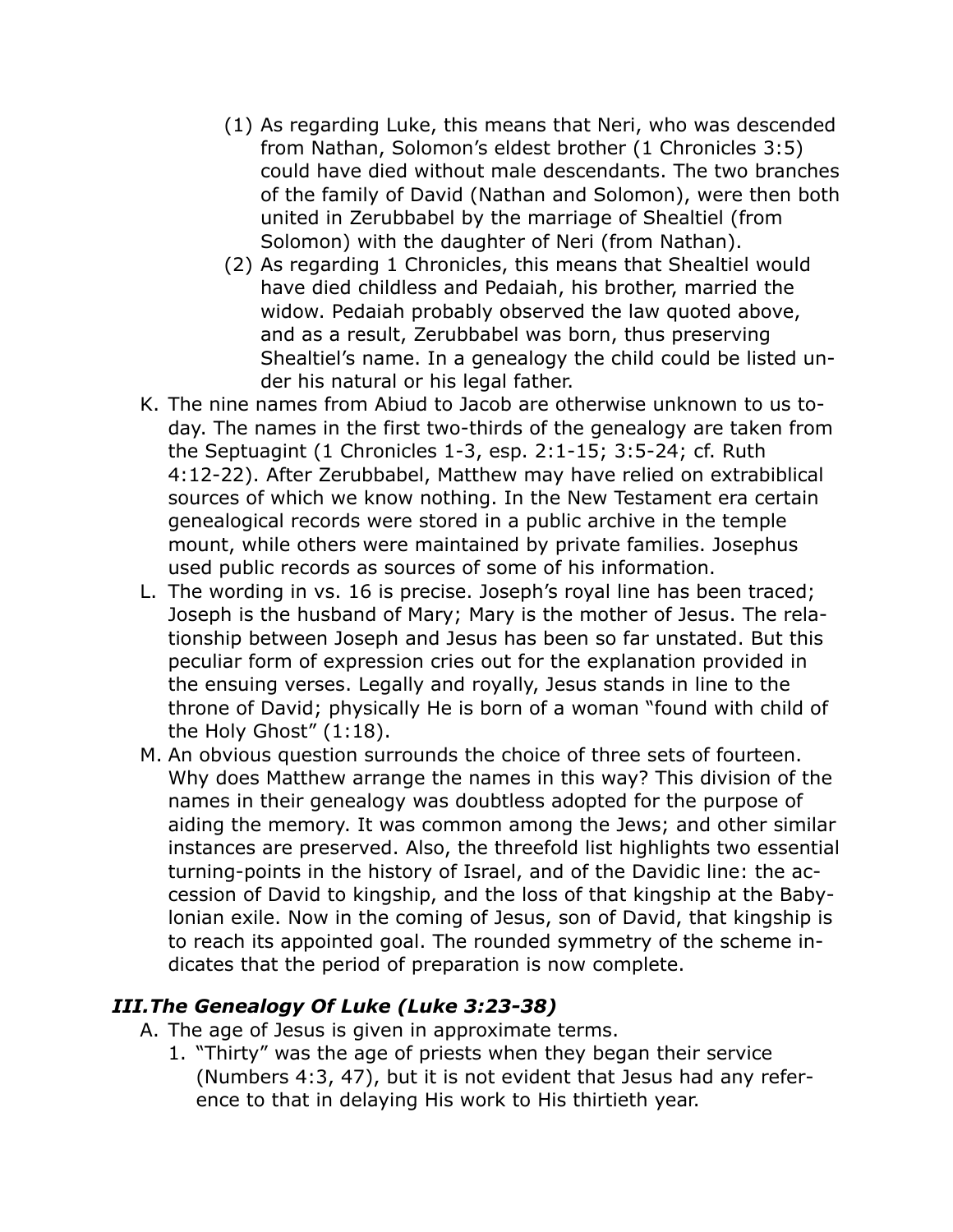- (1) As regarding Luke, this means that Neri, who was descended from Nathan, Solomon's eldest brother (1 Chronicles 3:5) could have died without male descendants. The two branches of the family of David (Nathan and Solomon), were then both united in Zerubbabel by the marriage of Shealtiel (from Solomon) with the daughter of Neri (from Nathan).
- (2) As regarding 1 Chronicles, this means that Shealtiel would have died childless and Pedaiah, his brother, married the widow. Pedaiah probably observed the law quoted above, and as a result, Zerubbabel was born, thus preserving Shealtiel's name. In a genealogy the child could be listed under his natural or his legal father.
- K. The nine names from Abiud to Jacob are otherwise unknown to us today. The names in the first two-thirds of the genealogy are taken from the Septuagint (1 Chronicles 1-3, esp. 2:1-15; 3:5-24; cf. Ruth 4:12-22). After Zerubbabel, Matthew may have relied on extrabiblical sources of which we know nothing. In the New Testament era certain genealogical records were stored in a public archive in the temple mount, while others were maintained by private families. Josephus used public records as sources of some of his information.
- L. The wording in vs. 16 is precise. Joseph's royal line has been traced; Joseph is the husband of Mary; Mary is the mother of Jesus. The relationship between Joseph and Jesus has been so far unstated. But this peculiar form of expression cries out for the explanation provided in the ensuing verses. Legally and royally, Jesus stands in line to the throne of David; physically He is born of a woman "found with child of the Holy Ghost" (1:18).
- M. An obvious question surrounds the choice of three sets of fourteen. Why does Matthew arrange the names in this way? This division of the names in their genealogy was doubtless adopted for the purpose of aiding the memory. It was common among the Jews; and other similar instances are preserved. Also, the threefold list highlights two essential turning-points in the history of Israel, and of the Davidic line: the accession of David to kingship, and the loss of that kingship at the Babylonian exile. Now in the coming of Jesus, son of David, that kingship is to reach its appointed goal. The rounded symmetry of the scheme indicates that the period of preparation is now complete.

## *III.The Genealogy Of Luke (Luke 3:23-38)*

- A. The age of Jesus is given in approximate terms.
	- 1. "Thirty" was the age of priests when they began their service (Numbers 4:3, 47), but it is not evident that Jesus had any reference to that in delaying His work to His thirtieth year.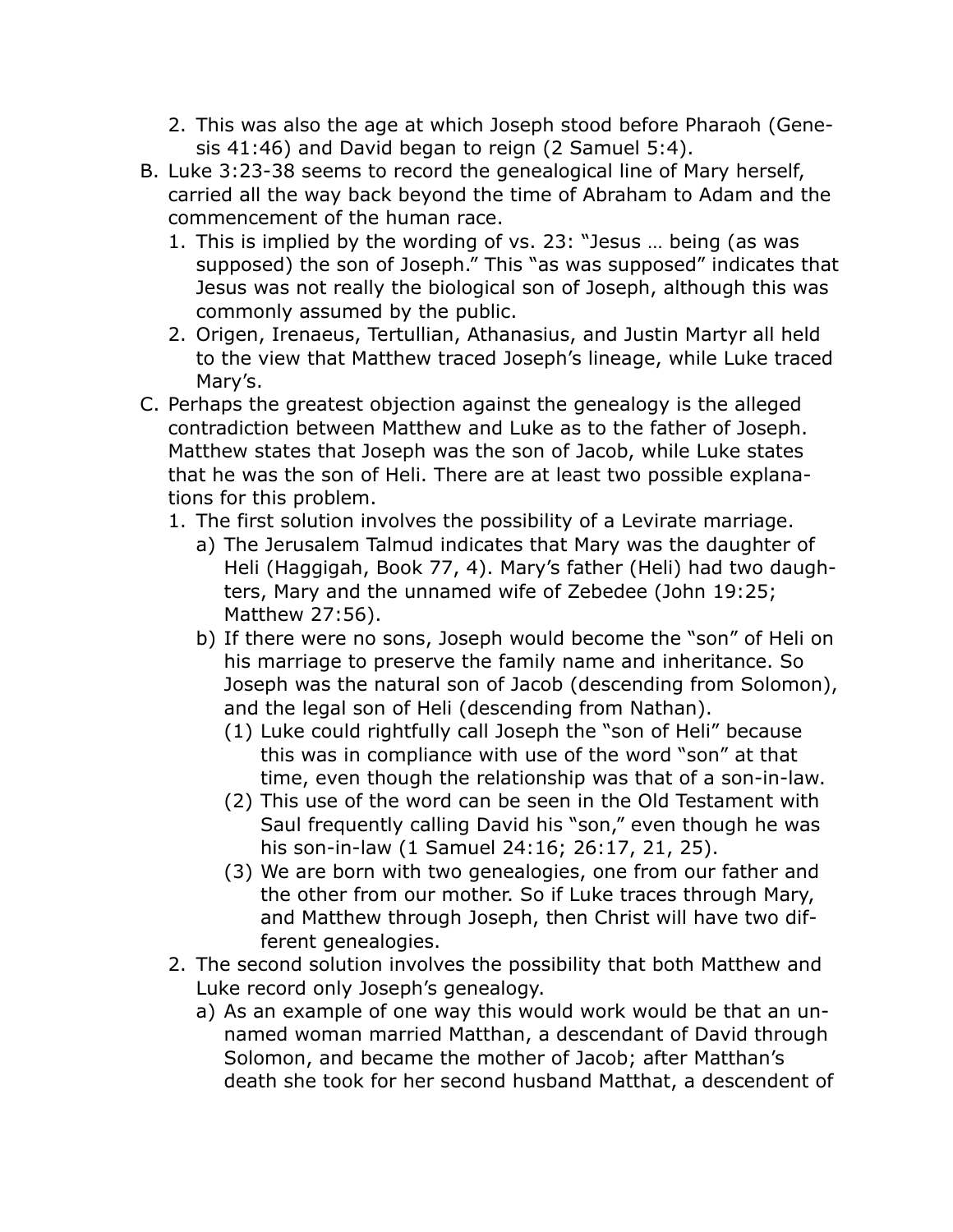- 2. This was also the age at which Joseph stood before Pharaoh (Genesis 41:46) and David began to reign (2 Samuel 5:4).
- B. Luke 3:23-38 seems to record the genealogical line of Mary herself, carried all the way back beyond the time of Abraham to Adam and the commencement of the human race.
	- 1. This is implied by the wording of vs. 23: "Jesus … being (as was supposed) the son of Joseph." This "as was supposed" indicates that Jesus was not really the biological son of Joseph, although this was commonly assumed by the public.
	- 2. Origen, Irenaeus, Tertullian, Athanasius, and Justin Martyr all held to the view that Matthew traced Joseph's lineage, while Luke traced Mary's.
- C. Perhaps the greatest objection against the genealogy is the alleged contradiction between Matthew and Luke as to the father of Joseph. Matthew states that Joseph was the son of Jacob, while Luke states that he was the son of Heli. There are at least two possible explanations for this problem.
	- 1. The first solution involves the possibility of a Levirate marriage.
		- a) The Jerusalem Talmud indicates that Mary was the daughter of Heli (Haggigah, Book 77, 4). Mary's father (Heli) had two daughters, Mary and the unnamed wife of Zebedee (John 19:25; Matthew 27:56).
		- b) If there were no sons, Joseph would become the "son" of Heli on his marriage to preserve the family name and inheritance. So Joseph was the natural son of Jacob (descending from Solomon), and the legal son of Heli (descending from Nathan).
			- (1) Luke could rightfully call Joseph the "son of Heli" because this was in compliance with use of the word "son" at that time, even though the relationship was that of a son-in-law.
			- (2) This use of the word can be seen in the Old Testament with Saul frequently calling David his "son," even though he was his son-in-law (1 Samuel 24:16; 26:17, 21, 25).
			- (3) We are born with two genealogies, one from our father and the other from our mother. So if Luke traces through Mary, and Matthew through Joseph, then Christ will have two different genealogies.
	- 2. The second solution involves the possibility that both Matthew and Luke record only Joseph's genealogy.
		- a) As an example of one way this would work would be that an unnamed woman married Matthan, a descendant of David through Solomon, and became the mother of Jacob; after Matthan's death she took for her second husband Matthat, a descendent of